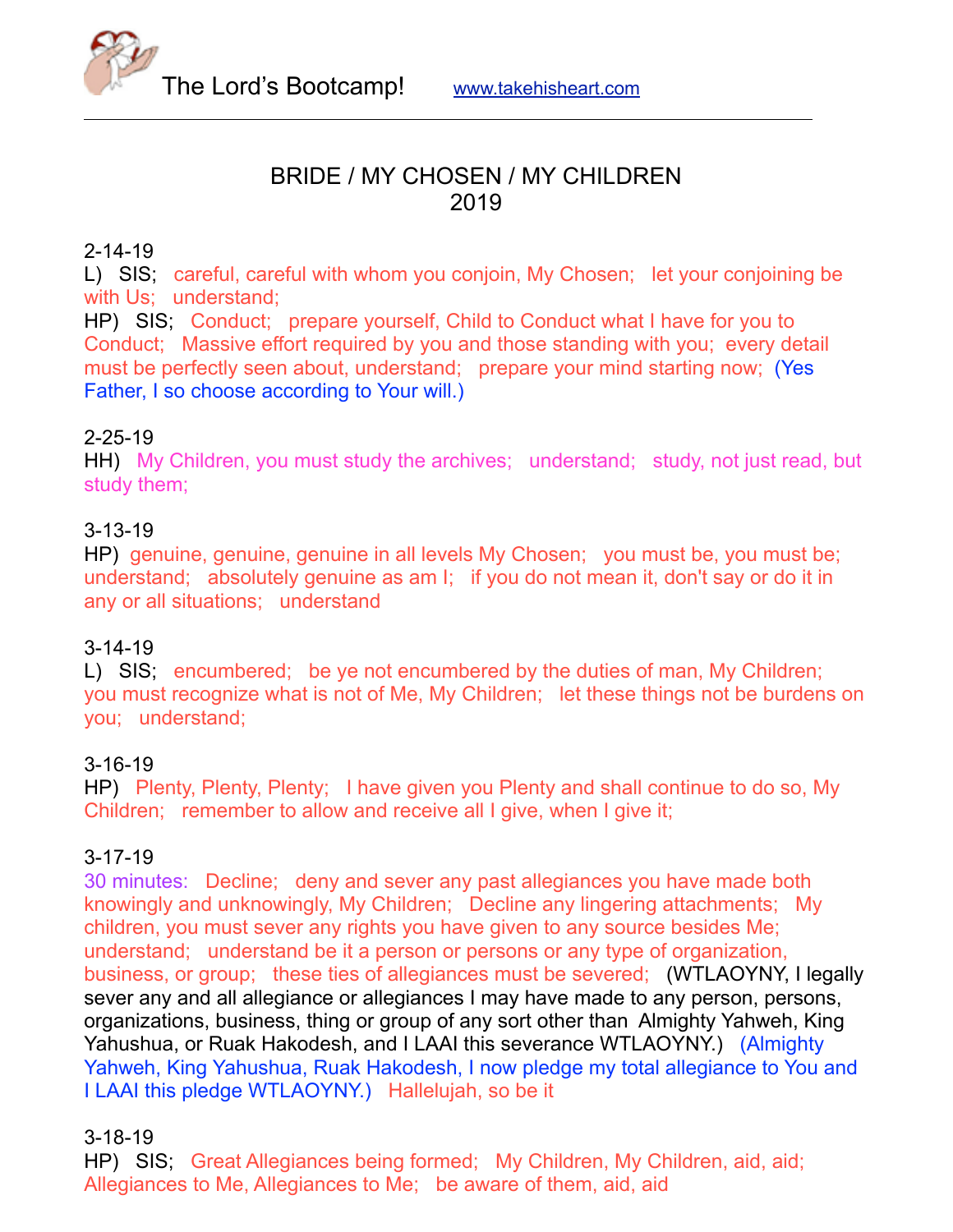

## BRIDE / MY CHOSEN / MY CHILDREN 2019

### 2-14-19

L) SIS; careful, careful with whom you conjoin, My Chosen; let your conjoining be with Us: understand:

HP) SIS; Conduct; prepare yourself, Child to Conduct what I have for you to Conduct; Massive effort required by you and those standing with you; every detail must be perfectly seen about, understand; prepare your mind starting now; (Yes Father, I so choose according to Your will.)

### 2-25-19

HH) My Children, you must study the archives; understand; study, not just read, but study them;

### 3-13-19

HP) genuine, genuine, genuine in all levels My Chosen; you must be, you must be; understand; absolutely genuine as am I; if you do not mean it, don't say or do it in any or all situations; understand

### 3-14-19

L) SIS; encumbered; be ye not encumbered by the duties of man, My Children; you must recognize what is not of Me, My Children; let these things not be burdens on you; understand;

### 3-16-19

HP) Plenty, Plenty, Plenty; I have given you Plenty and shall continue to do so, My Children; remember to allow and receive all I give, when I give it;

### 3-17-19

30 minutes: Decline; deny and sever any past allegiances you have made both knowingly and unknowingly, My Children; Decline any lingering attachments; My children, you must sever any rights you have given to any source besides Me; understand; understand be it a person or persons or any type of organization, business, or group; these ties of allegiances must be severed; (WTLAOYNY, I legally sever any and all allegiance or allegiances I may have made to any person, persons, organizations, business, thing or group of any sort other than Almighty Yahweh, King Yahushua, or Ruak Hakodesh, and I LAAI this severance WTLAOYNY.) (Almighty Yahweh, King Yahushua, Ruak Hakodesh, I now pledge my total allegiance to You and I LAAI this pledge WTLAOYNY.) Hallelujah, so be it

### 3-18-19

HP) SIS; Great Allegiances being formed; My Children, My Children, aid, aid; Allegiances to Me, Allegiances to Me; be aware of them, aid, aid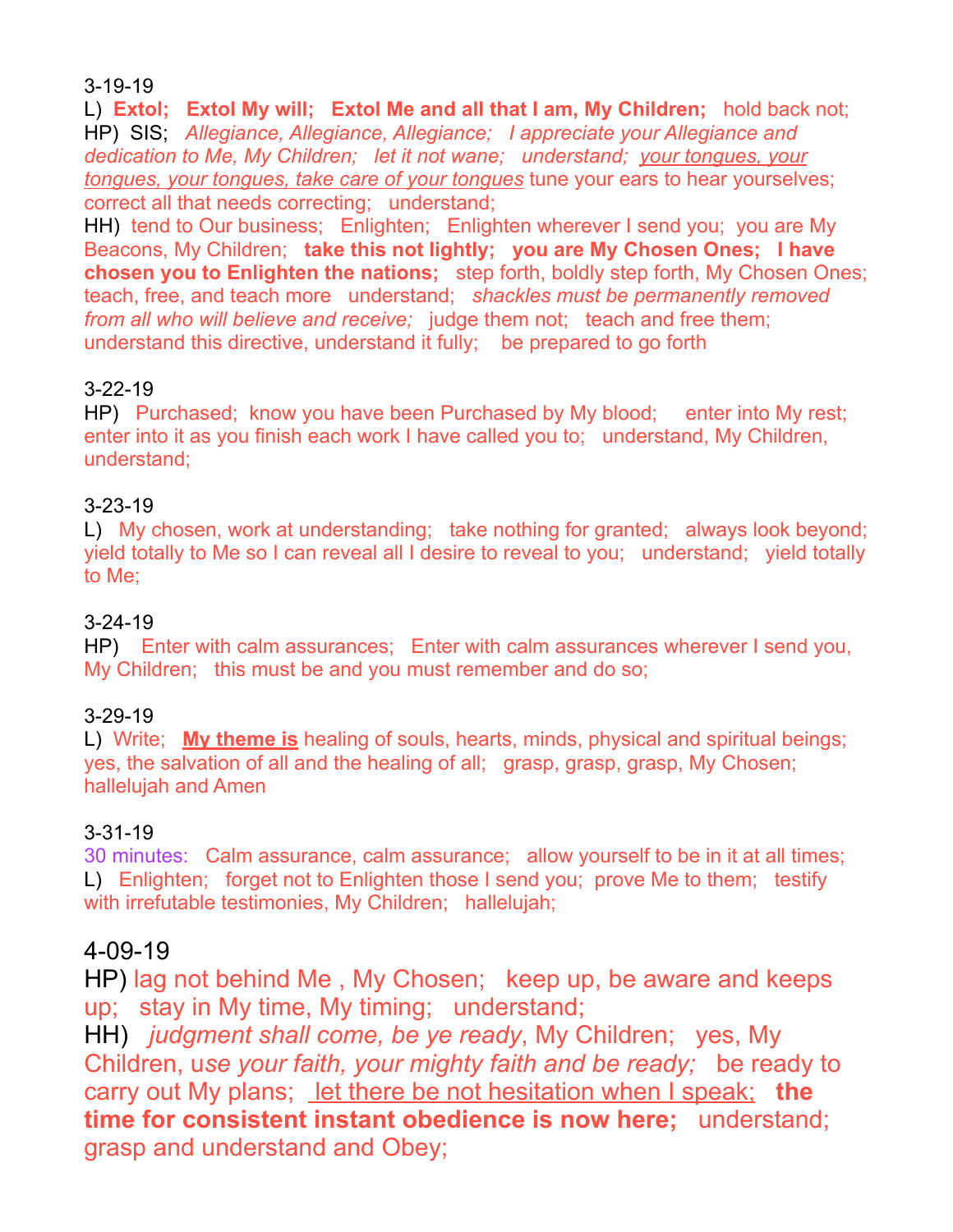3-19-19

L) **Extol; Extol My will; Extol Me and all that I am, My Children;** hold back not; HP) SIS; *Allegiance, Allegiance, Allegiance; I appreciate your Allegiance and dedication to Me, My Children; let it not wane; understand; your tongues, your tongues, your tongues, take care of your tongues* tune your ears to hear yourselves; correct all that needs correcting; understand;

HH) tend to Our business; Enlighten; Enlighten wherever I send you; you are My Beacons, My Children; **take this not lightly; you are My Chosen Ones; I have chosen you to Enlighten the nations;** step forth, boldly step forth, My Chosen Ones; teach, free, and teach more understand; *shackles must be permanently removed from all who will believe and receive;* judge them not; teach and free them; understand this directive, understand it fully; be prepared to go forth

### 3-22-19

HP) Purchased; know you have been Purchased by My blood; enter into My rest; enter into it as you finish each work I have called you to; understand, My Children, understand;

### 3-23-19

L) My chosen, work at understanding; take nothing for granted; always look beyond; yield totally to Me so I can reveal all I desire to reveal to you; understand; yield totally to Me;

### 3-24-19

HP) Enter with calm assurances; Enter with calm assurances wherever I send you, My Children; this must be and you must remember and do so;

### 3-29-19

L) Write; **My theme is** healing of souls, hearts, minds, physical and spiritual beings; yes, the salvation of all and the healing of all; grasp, grasp, grasp, My Chosen; hallelujah and Amen

### 3-31-19

30 minutes: Calm assurance, calm assurance; allow yourself to be in it at all times; L) Enlighten; forget not to Enlighten those I send you; prove Me to them; testify with irrefutable testimonies, My Children; hallelujah;

# 4-09-19

HP) lag not behind Me , My Chosen; keep up, be aware and keeps up; stay in My time, My timing; understand;

HH) *judgment shall come, be ye ready*, My Children; yes, My Children, u*se your faith, your mighty faith and be ready;* be ready to carry out My plans; <u>let there be not hesitation when I speak;</u> the **time for consistent instant obedience is now here;** understand; grasp and understand and Obey;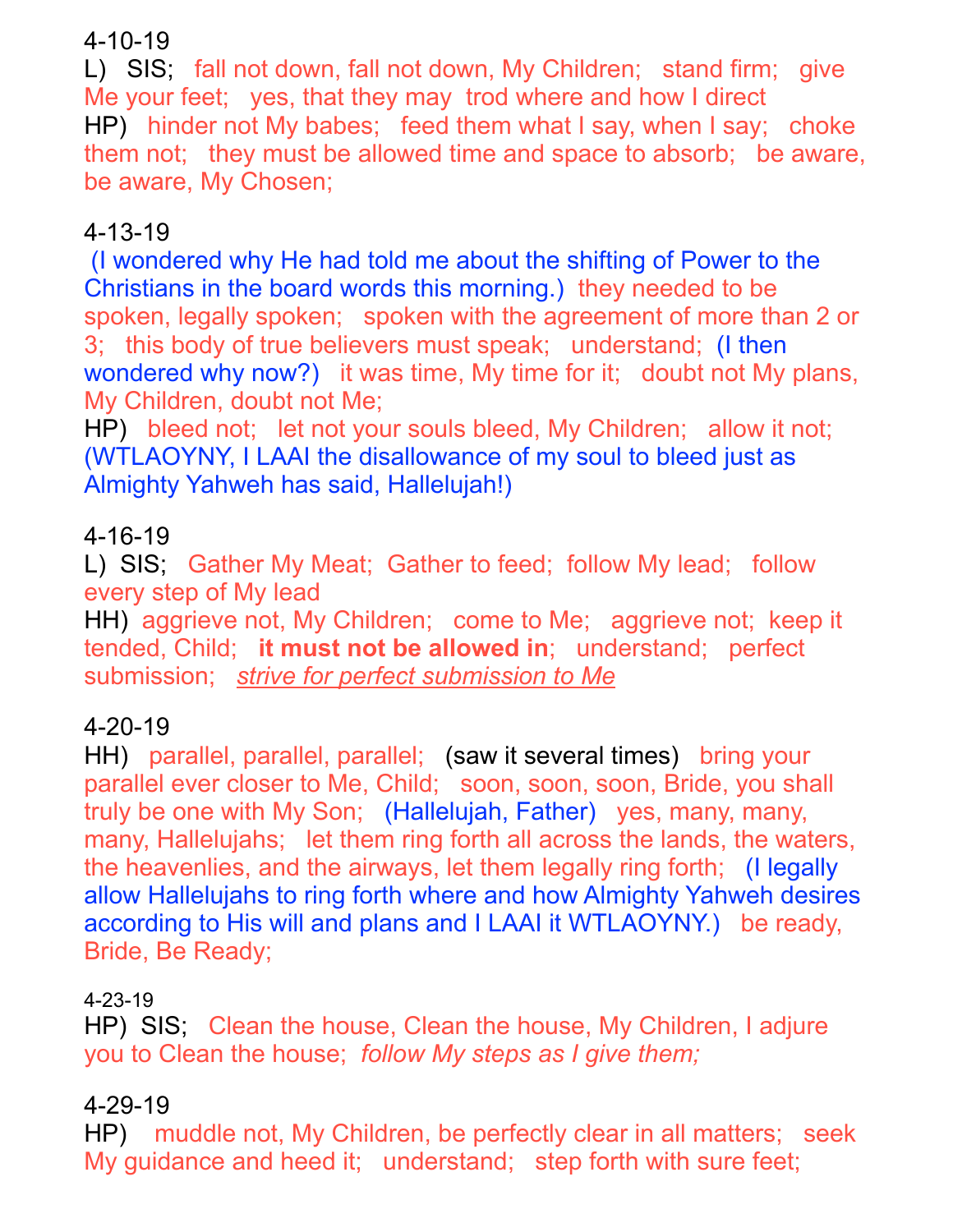# 4-10-19

L) SIS; fall not down, fall not down, My Children; stand firm; give Me your feet; yes, that they may trod where and how I direct HP) hinder not My babes; feed them what I say, when I say; choke them not; they must be allowed time and space to absorb; be aware, be aware, My Chosen;

# 4-13-19

(I wondered why He had told me about the shifting of Power to the Christians in the board words this morning.) they needed to be spoken, legally spoken; spoken with the agreement of more than 2 or 3; this body of true believers must speak; understand; (I then wondered why now?) it was time, My time for it; doubt not My plans, My Children, doubt not Me;

HP) bleed not; let not your souls bleed, My Children; allow it not; (WTLAOYNY, I LAAI the disallowance of my soul to bleed just as Almighty Yahweh has said, Hallelujah!)

# 4-16-19

L) SIS; Gather My Meat; Gather to feed; follow My lead; follow every step of My lead

HH) aggrieve not, My Children; come to Me; aggrieve not; keep it tended, Child; **it must not be allowed in**; understand; perfect submission; *strive for perfect submission to Me*

# 4-20-19

HH) parallel, parallel, parallel; (saw it several times) bring your parallel ever closer to Me, Child; soon, soon, soon, Bride, you shall truly be one with My Son; (Hallelujah, Father) yes, many, many, many, Hallelujahs; let them ring forth all across the lands, the waters, the heavenlies, and the airways, let them legally ring forth; (I legally allow Hallelujahs to ring forth where and how Almighty Yahweh desires according to His will and plans and I LAAI it WTLAOYNY.) be ready, Bride, Be Ready;

# 4-23-19

HP) SIS; Clean the house, Clean the house, My Children, I adjure you to Clean the house; *follow My steps as I give them;* 

# 4-29-19

HP) muddle not, My Children, be perfectly clear in all matters; seek My quidance and heed it; understand; step forth with sure feet;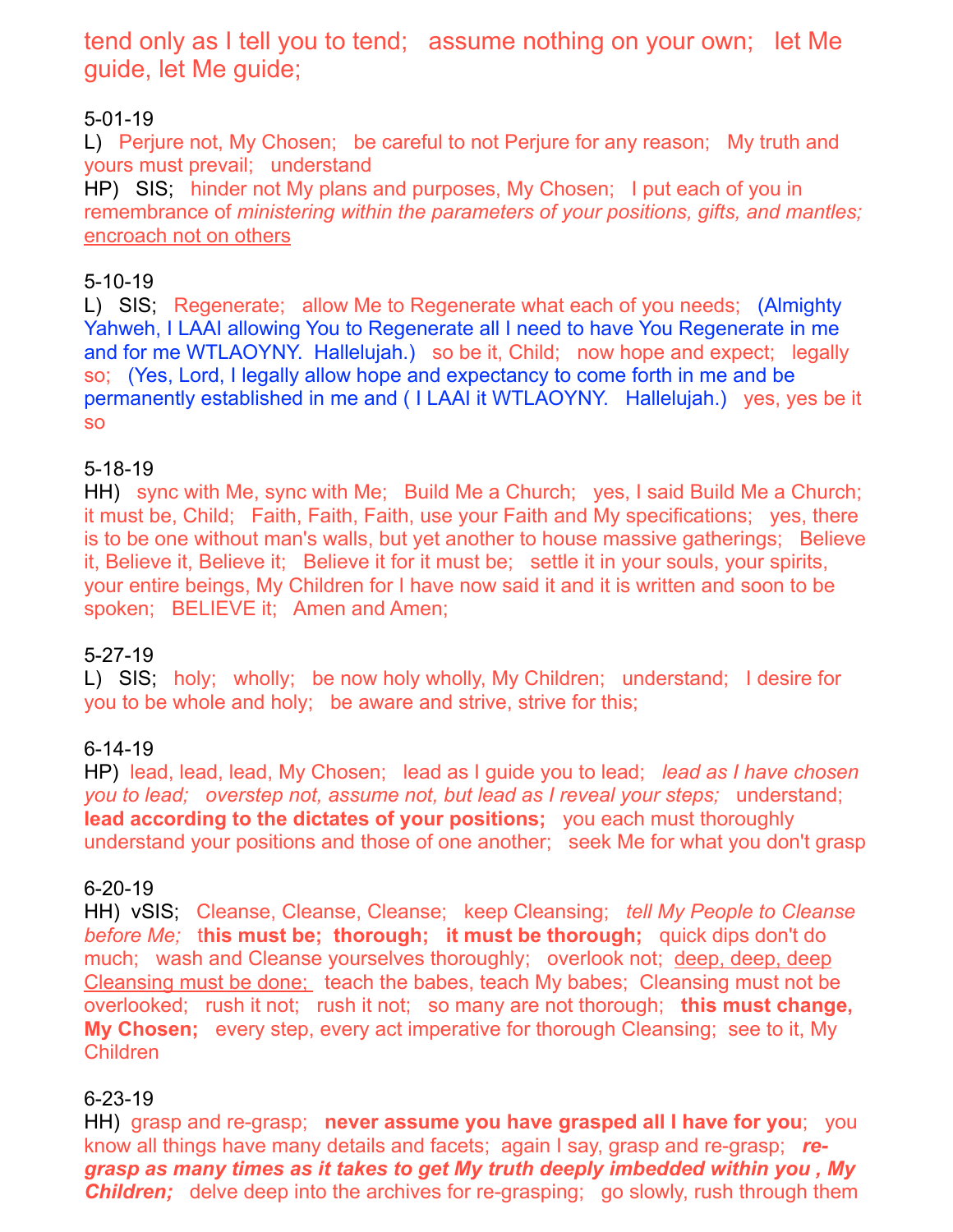tend only as I tell you to tend; assume nothing on your own; let Me guide, let Me guide;

### 5-01-19

L) Perjure not, My Chosen; be careful to not Perjure for any reason; My truth and yours must prevail; understand

HP) SIS; hinder not My plans and purposes, My Chosen; I put each of you in remembrance of *ministering within the parameters of your positions, gifts, and mantles;* encroach not on others

### 5-10-19

L) SIS; Regenerate; allow Me to Regenerate what each of you needs; (Almighty Yahweh, I LAAI allowing You to Regenerate all I need to have You Regenerate in me and for me WTLAOYNY. Hallelujah.) so be it, Child; now hope and expect; legally so; (Yes, Lord, I legally allow hope and expectancy to come forth in me and be permanently established in me and ( I LAAI it WTLAOYNY. Hallelujah.) yes, yes be it so

### 5-18-19

HH) sync with Me, sync with Me; Build Me a Church; yes, I said Build Me a Church; it must be, Child; Faith, Faith, Faith, use your Faith and My specifications; yes, there is to be one without man's walls, but yet another to house massive gatherings; Believe it, Believe it, Believe it; Believe it for it must be; settle it in your souls, your spirits, your entire beings, My Children for I have now said it and it is written and soon to be spoken; BELIEVE it; Amen and Amen;

### 5-27-19

L) SIS; holy; wholly; be now holy wholly, My Children; understand; I desire for you to be whole and holy; be aware and strive, strive for this;

### 6-14-19

HP) lead, lead, lead, My Chosen; lead as I guide you to lead; *lead as I have chosen you to lead; overstep not, assume not, but lead as I reveal your steps;* understand; **lead according to the dictates of your positions;** you each must thoroughly understand your positions and those of one another; seek Me for what you don't grasp

### 6-20-19

HH) vSIS; Cleanse, Cleanse, Cleanse; keep Cleansing; *tell My People to Cleanse before Me;* t**his must be; thorough; it must be thorough;** quick dips don't do much; wash and Cleanse yourselves thoroughly; overlook not; deep, deep, deep Cleansing must be done; teach the babes, teach My babes; Cleansing must not be overlooked; rush it not; rush it not; so many are not thorough; **this must change, My Chosen;** every step, every act imperative for thorough Cleansing; see to it, My Children

### 6-23-19

HH) grasp and re-grasp; **never assume you have grasped all I have for you**; you know all things have many details and facets; again I say, grasp and re-grasp; *regrasp as many times as it takes to get My truth deeply imbedded within you , My Children;* delve deep into the archives for re-grasping; go slowly, rush through them